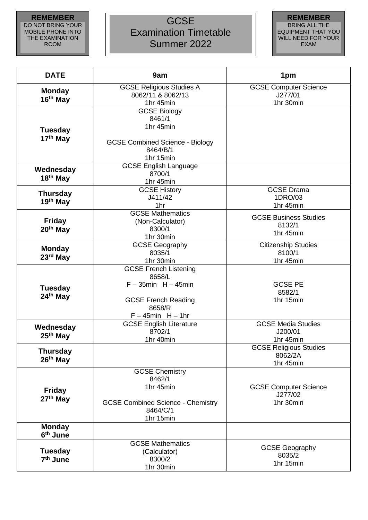## **REMEMBER** DO NOT BRING YOUR MOBILE PHONE INTO THE EXAMINATION ROOM

## **GCSE** Examination Timetable Summer 2022



| <b>DATE</b>                            | 9am                                                                                                                                    | 1pm                                                   |
|----------------------------------------|----------------------------------------------------------------------------------------------------------------------------------------|-------------------------------------------------------|
| <b>Monday</b><br>16 <sup>th</sup> May  | <b>GCSE Religious Studies A</b><br>8062/11 & 8062/13<br>1hr 45min                                                                      | <b>GCSE Computer Science</b><br>J277/01<br>1hr 30min  |
| <b>Tuesday</b><br>17th May             | <b>GCSE Biology</b><br>8461/1<br>1hr 45min<br><b>GCSE Combined Science - Biology</b><br>8464/B/1<br>1hr 15min                          |                                                       |
| Wednesday<br>18 <sup>th</sup> May      | <b>GCSE English Language</b><br>8700/1<br>1hr 45min                                                                                    |                                                       |
| <b>Thursday</b><br>$19th$ May          | <b>GCSE History</b><br>J411/42<br>1hr                                                                                                  | <b>GCSE Drama</b><br>1DRO/03<br>1hr 45min             |
| <b>Friday</b><br>20 <sup>th</sup> May  | <b>GCSE Mathematics</b><br>(Non-Calculator)<br>8300/1<br>1hr 30min                                                                     | <b>GCSE Business Studies</b><br>8132/1<br>1hr 45min   |
| <b>Monday</b><br>23 <sup>rd</sup> May  | <b>GCSE Geography</b><br>8035/1<br>1hr 30min                                                                                           | <b>Citizenship Studies</b><br>8100/1<br>1hr 45min     |
| <b>Tuesday</b><br>24 <sup>th</sup> May | <b>GCSE French Listening</b><br>8658/L<br>$F - 35$ min H $- 45$ min<br><b>GCSE French Reading</b><br>8658/R<br>$F - 45$ min $H - 1$ hr | <b>GCSE PE</b><br>8582/1<br>1hr 15min                 |
| Wednesday<br>25 <sup>th</sup> May      | <b>GCSE English Literature</b><br>8702/1<br>1hr 40min                                                                                  | <b>GCSE Media Studies</b><br>J200/01<br>1hr 45min     |
| <b>Thursday</b><br>$26th$ May          |                                                                                                                                        | <b>GCSE Religious Studies</b><br>8062/2A<br>1hr 45min |
| <b>Friday</b><br>27 <sup>th</sup> May  | <b>GCSE Chemistry</b><br>8462/1<br>1hr 45min<br><b>GCSE Combined Science - Chemistry</b><br>8464/C/1<br>1hr 15min                      | <b>GCSE Computer Science</b><br>J277/02<br>1hr 30min  |
| <b>Monday</b><br>6 <sup>th</sup> June  |                                                                                                                                        |                                                       |
| <b>Tuesday</b><br>7 <sup>th</sup> June | <b>GCSE Mathematics</b><br>(Calculator)<br>8300/2<br>1hr 30min                                                                         | <b>GCSE Geography</b><br>8035/2<br>1hr 15min          |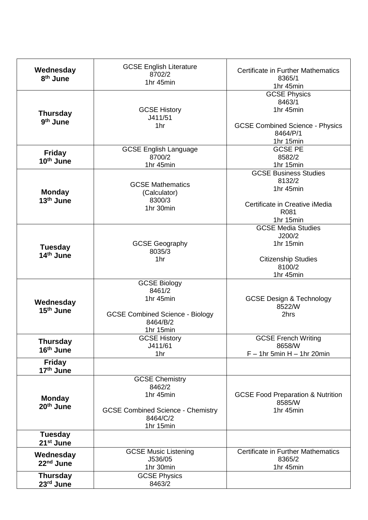| Wednesday<br>8 <sup>th</sup> June        | <b>GCSE English Literature</b><br>8702/2<br>1hr 45min                                                             | <b>Certificate in Further Mathematics</b><br>8365/1<br>1hr 45min                                              |
|------------------------------------------|-------------------------------------------------------------------------------------------------------------------|---------------------------------------------------------------------------------------------------------------|
| <b>Thursday</b><br>9 <sup>th</sup> June  | <b>GCSE History</b><br>J411/51<br>1hr                                                                             | <b>GCSE Physics</b><br>8463/1<br>1hr 45min<br><b>GCSE Combined Science - Physics</b><br>8464/P/1<br>1hr 15min |
| <b>Friday</b><br>10 <sup>th</sup> June   | <b>GCSE English Language</b><br>8700/2<br>1hr 45min                                                               | <b>GCSE PE</b><br>8582/2<br>1hr 15min                                                                         |
| <b>Monday</b><br>13 <sup>th</sup> June   | <b>GCSE Mathematics</b><br>(Calculator)<br>8300/3<br>1hr 30min                                                    | <b>GCSE Business Studies</b><br>8132/2<br>1hr 45min<br>Certificate in Creative iMedia<br>R081<br>1hr 15min    |
| <b>Tuesday</b><br>14 <sup>th</sup> June  | <b>GCSE Geography</b><br>8035/3<br>1hr                                                                            | <b>GCSE Media Studies</b><br>J200/2<br>1hr 15min<br><b>Citizenship Studies</b><br>8100/2<br>1hr 45min         |
| Wednesday<br>15 <sup>th</sup> June       | <b>GCSE Biology</b><br>8461/2<br>1hr 45min<br><b>GCSE Combined Science - Biology</b><br>8464/B/2<br>1hr 15min     | <b>GCSE Design &amp; Technology</b><br>8522/W<br>2hrs                                                         |
| <b>Thursday</b><br>16 <sup>th</sup> June | <b>GCSE History</b><br>J411/61<br>1hr                                                                             | <b>GCSE French Writing</b><br>8658/W<br>$F - 1$ hr 5min H $- 1$ hr 20min                                      |
| <b>Friday</b><br>17 <sup>th</sup> June   |                                                                                                                   |                                                                                                               |
| <b>Monday</b><br>20th June               | <b>GCSE Chemistry</b><br>8462/2<br>1hr 45min<br><b>GCSE Combined Science - Chemistry</b><br>8464/C/2<br>1hr 15min | <b>GCSE Food Preparation &amp; Nutrition</b><br>8585/W<br>1hr 45min                                           |
| <b>Tuesday</b><br>21 <sup>st</sup> June  |                                                                                                                   |                                                                                                               |
| Wednesday<br>22 <sup>nd</sup> June       | <b>GCSE Music Listening</b><br>J536/05<br>1hr 30min                                                               | <b>Certificate in Further Mathematics</b><br>8365/2<br>1hr 45min                                              |
| <b>Thursday</b><br>23rd June             | <b>GCSE Physics</b><br>8463/2                                                                                     |                                                                                                               |